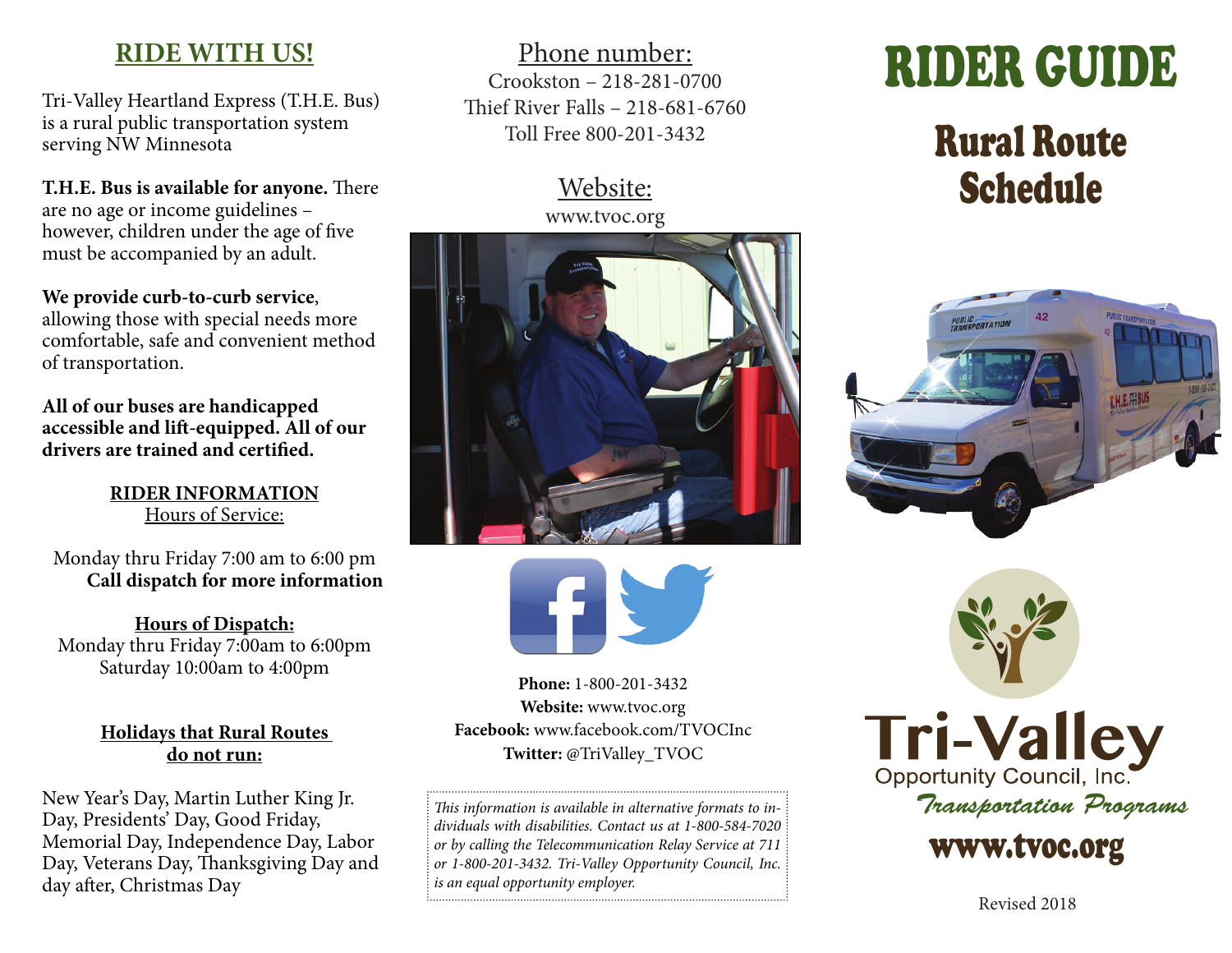## **RIDE WITH US!**

Tri-Valley Heartland Express (T.H.E. Bus) is a rural public transportation system serving NW Minnesota

**T.H.E. Bus is available for anyone.** There are no age or income guidelines – however, children under the age of five must be accompanied by an adult.

**We provide curb-to-curb service**, allowing those with special needs more comfortable, safe and convenient method of transportation.

**All of our buses are handicapped accessible and lift-equipped. All of our drivers are trained and certified.** 

> **RIDER INFORMATION** Hours of Service:

Monday thru Friday 7:00 am to 6:00 pm **Call dispatch for more information**

**Hours of Dispatch:** Monday thru Friday 7:00am to 6:00pm Saturday 10:00am to 4:00pm

#### **Holidays that Rural Routes do not run:**

New Year's Day, Martin Luther King Jr. Day, Presidents' Day, Good Friday, Memorial Day, Independence Day, Labor Day, Veterans Day, Thanksgiving Day and day after, Christmas Day

Phone number: Crookston – 218-281-0700 Thief River Falls – 218-681-6760 Toll Free 800-201-3432

#### Website: www.tvoc.org





**Phone:** 1-800-201-3432 **Website:** www.tvoc.org **Facebook:** www.facebook.com/TVOCInc **Twitter:** @TriValley\_TVOC

*This information is available in alternative formats to individuals with disabilities. Contact us at 1-800-584-7020 or by calling the Telecommunication Relay Service at 711 or 1-800-201-3432. Tri-Valley Opportunity Council, Inc. is an equal opportunity employer.*

# RIDER GUIDE

## Rural Route Schedule





**Tri-Valley** *Transportation Programs*